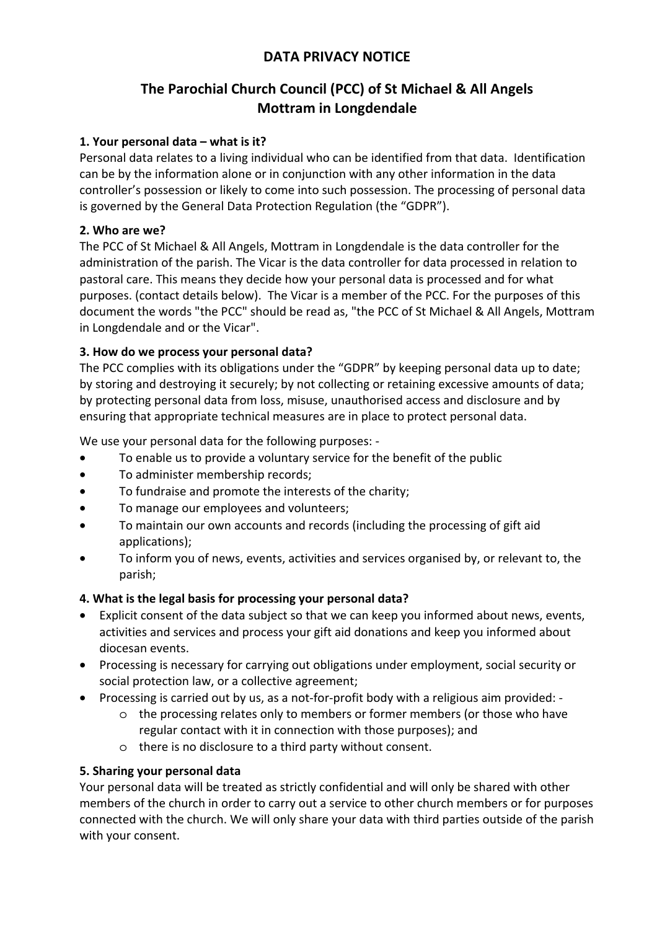## **DATA PRIVACY NOTICE**

# **The Parochial Church Council (PCC) of St Michael & All Angels Mottram in Longdendale**

## **1. Your personal data – what is it?**

Personal data relates to a living individual who can be identified from that data. Identification can be by the information alone or in conjunction with any other information in the data controller's possession or likely to come into such possession. The processing of personal data is governed by the General Data Protection Regulation (the "GDPR").

## **2. Who are we?**

The PCC of St Michael & All Angels, Mottram in Longdendale is the data controller for the administration of the parish. The Vicar is the data controller for data processed in relation to pastoral care. This means they decide how your personal data is processed and for what purposes. (contact details below). The Vicar is a member of the PCC. For the purposes of this document the words "the PCC" should be read as, "the PCC of St Michael & All Angels, Mottram in Longdendale and or the Vicar".

## **3. How do we process your personal data?**

The PCC complies with its obligations under the "GDPR" by keeping personal data up to date; by storing and destroying it securely; by not collecting or retaining excessive amounts of data; by protecting personal data from loss, misuse, unauthorised access and disclosure and by ensuring that appropriate technical measures are in place to protect personal data.

We use your personal data for the following purposes: -

- To enable us to provide a voluntary service for the benefit of the public
- To administer membership records;
- To fundraise and promote the interests of the charity;
- To manage our employees and volunteers;
- To maintain our own accounts and records (including the processing of gift aid applications);
- To inform you of news, events, activities and services organised by, or relevant to, the parish;

## **4. What is the legal basis for processing your personal data?**

- Explicit consent of the data subject so that we can keep you informed about news, events, activities and services and process your gift aid donations and keep you informed about diocesan events.
- Processing is necessary for carrying out obligations under employment, social security or social protection law, or a collective agreement;
- Processing is carried out by us, as a not-for-profit body with a religious aim provided:
	- o the processing relates only to members or former members (or those who have regular contact with it in connection with those purposes); and
	- o there is no disclosure to a third party without consent.

## **5. Sharing your personal data**

Your personal data will be treated as strictly confidential and will only be shared with other members of the church in order to carry out a service to other church members or for purposes connected with the church. We will only share your data with third parties outside of the parish with your consent.